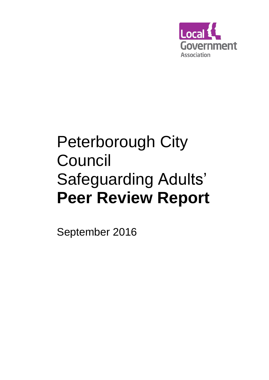

# Peterborough City Council Safeguarding Adults' **Peer Review Report**

September 2016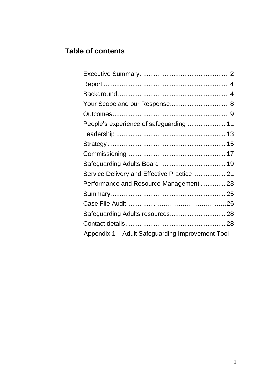# **Table of contents**

| Service Delivery and Effective Practice  21      |
|--------------------------------------------------|
| Performance and Resource Management 23           |
|                                                  |
|                                                  |
|                                                  |
|                                                  |
| Appendix 1 - Adult Safeguarding Improvement Tool |
|                                                  |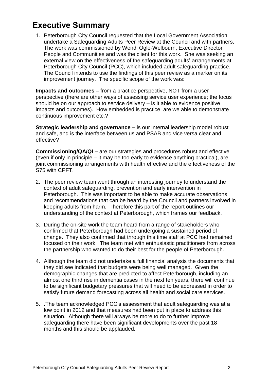# **Executive Summary**

1. Peterborough City Council requested that the Local Government Association undertake a Safeguarding Adults Peer Review at the Council and with partners. The work was commissioned by Wendi Ogle-Welbourn, Executive Director People and Communities and was the client for this work. She was seeking an external view on the effectiveness of the safeguarding adults' arrangements at Peterborough City Council (PCC), which included adult safeguarding practice. The Council intends to use the findings of this peer review as a marker on its improvement journey. The specific scope of the work was:

**Impacts and outcomes –** from a practice perspective, NOT from a user perspective (there are other ways of assessing service user experience; the focus should be on our approach to service delivery – is it able to evidence positive impacts and outcomes). How embedded is practice, are we able to demonstrate continuous improvement etc.?

**Strategic leadership and governance –** is our internal leadership model robust and safe, and is the interface between us and PSAB and vice versa clear and effective?

**Commissioning/QA/QI –** are our strategies and procedures robust and effective (even if only in principle – it may be too early to evidence anything practical), are joint commissioning arrangements with health effective and the effectiveness of the S75 with CPFT.

- 2. The peer review team went through an interesting journey to understand the context of adult safeguarding, prevention and early intervention in Peterborough. This was important to be able to make accurate observations and recommendations that can be heard by the Council and partners involved in keeping adults from harm. Therefore this part of the report outlines our understanding of the context at Peterborough, which frames our feedback.
- 3. During the on-site work the team heard from a range of stakeholders who confirmed that Peterborough had been undergoing a sustained period of change. They also confirmed that through this time staff at PCC had remained focused on their work. The team met with enthusiastic practitioners from across the partnership who wanted to do their best for the people of Peterborough.
- 4. Although the team did not undertake a full financial analysis the documents that they did see indicated that budgets were being well managed. Given the demographic changes that are predicted to affect Peterborough, including an almost one third rise in dementia cases in the next ten years, there will continue to be significant budgetary pressures that will need to be addressed in order to satisfy future demand forecasting across all health and social care services.
- 5. .The team acknowledged PCC's assessment that adult safeguarding was at a low point in 2012 and that measures had been put in place to address this situation. Although there will always be more to do to further improve safeguarding there have been significant developments over the past 18 months and this should be applauded.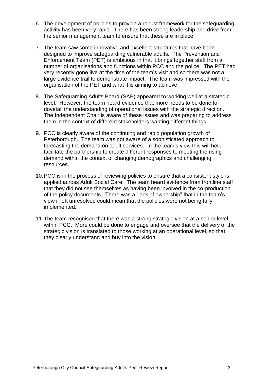- 6. The development of policies to provide a robust framework for the safeguarding activity has been very rapid. There has been strong leadership and drive from the senior management team to ensure that these are in place.
- 7. The team saw some innovative and excellent structures that have been designed to improve safeguarding vulnerable adults. The Prevention and Enforcement Team (PET) is ambitious in that it brings together staff from a number of organisations and functions within PCC and the police. The PET had very recently gone live at the time of the team's visit and so there was not a large evidence trail to demonstrate impact. The team was impressed with the organisation of the PET and what it is aiming to achieve.
- 8. The Safeguarding Adults Board (SAB) appeared to working well at a strategic level. However, the team heard evidence that more needs to be done to dovetail the understanding of operational issues with the strategic direction. The Independent Chair is aware of these issues and was preparing to address them in the context of different stakeholders wanting different things.
- 9. PCC is clearly aware of the continuing and rapid population growth of Peterborough. The team was not aware of a sophisticated approach to forecasting the demand on adult services. In the team's view this will help facilitate the partnership to create different responses to meeting the rising demand within the context of changing demographics and challenging resources.
- 10.PCC is in the process of reviewing policies to ensure that a consistent style is applied across Adult Social Care. The team heard evidence from frontline staff that they did not see themselves as having been involved in the co-production of the policy documents. There was a "lack of ownership" that in the team's view if left unresolved could mean that the policies were not being fully implemented.
- 11.The team recognised that there was a strong strategic vision at a senior level within PCC. More could be done to engage and oversee that the delivery of the strategic vision is translated to those working at an operational level, so that they clearly understand and buy into the vision.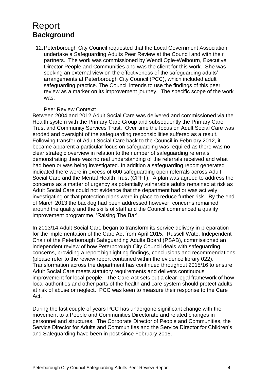# <span id="page-4-0"></span>Report **Background**

12.Peterborough City Council requested that the Local Government Association undertake a Safeguarding Adults Peer Review at the Council and with their partners. The work was commissioned by Wendi Ogle-Welbourn, Executive Director People and Communities and was the client for this work. She was seeking an external view on the effectiveness of the safeguarding adults' arrangements at Peterborough City Council (PCC), which included adult safeguarding practice. The Council intends to use the findings of this peer review as a marker on its improvement journey. The specific scope of the work was:

#### Peer Review Context:

Between 2004 and 2012 Adult Social Care was delivered and commissioned via the Health system with the Primary Care Group and subsequently the Primary Care Trust and Community Services Trust. Over time the focus on Adult Social Care was eroded and oversight of the safeguarding responsibilities suffered as a result. Following transfer of Adult Social Care back to the Council in February 2012, it became apparent a particular focus on safeguarding was required as there was no clear strategic overview in relation to the number of safeguarding referrals demonstrating there was no real understanding of the referrals received and what had been or was being investigated. In addition a safeguarding report generated indicated there were in excess of 600 safeguarding open referrals across Adult Social Care and the Mental Health Trust (CPFT). A plan was agreed to address the concerns as a matter of urgency as potentially vulnerable adults remained at risk as Adult Social Care could not evidence that the department had or was actively investigating or that protection plans were in place to reduce further risk. By the end of March 2013 the backlog had been addressed however, concerns remained around the quality and the skills of staff and the Council commenced a quality improvement programme, 'Raising The Bar'.

In 2013/14 Adult Social Care began to transform its service delivery in preparation for the implementation of the Care Act from April 2015. Russell Wate, Independent Chair of the Peterborough Safeguarding Adults Board (PSAB), commissioned an independent review of how Peterborough City Council deals with safeguarding concerns, providing a report highlighting findings, conclusions and recommendations (please refer to the review report contained within the evidence library 022). Transformation across the department has continued throughout 2015/16 to ensure Adult Social Care meets statutory requirements and delivers continuous improvement for local people. The Care Act sets out a clear legal framework of how local authorities and other parts of the health and care system should protect adults at risk of abuse or neglect. PCC was keen to measure their response to the Care Act.

During the last couple of years PCC has undergone significant change with the movement to a People and Communities Directorate and related changes in personnel and structures. The Corporate Director of People and Communities, the Service Director for Adults and Communities and the Service Director for Children's and Safeguarding have been in post since February 2015.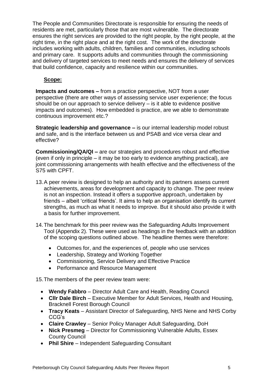The People and Communities Directorate is responsible for ensuring the needs of residents are met, particularly those that are most vulnerable. The directorate ensures the right services are provided to the right people, by the right people, at the right time, in the right place and at the right cost. The work of the directorate includes working with adults, children, families and communities, including schools and primary care. It supports adults and communities through the commissioning and delivery of targeted services to meet needs and ensures the delivery of services that build confidence, capacity and resilience within our communities.

#### **Scope:**

**Impacts and outcomes –** from a practice perspective, NOT from a user perspective (there are other ways of assessing service user experience; the focus should be on our approach to service delivery – is it able to evidence positive impacts and outcomes). How embedded is practice, are we able to demonstrate continuous improvement etc.?

**Strategic leadership and governance –** is our internal leadership model robust and safe, and is the interface between us and PSAB and vice versa clear and effective?

**Commissioning/QA/QI –** are our strategies and procedures robust and effective (even if only in principle – it may be too early to evidence anything practical), are joint commissioning arrangements with health effective and the effectiveness of the S75 with CPFT.

- 13.A peer review is designed to help an authority and its partners assess current achievements, areas for development and capacity to change. The peer review is not an inspection. Instead it offers a supportive approach, undertaken by friends – albeit 'critical friends'. It aims to help an organisation identify its current strengths, as much as what it needs to improve. But it should also provide it with a basis for further improvement.
- 14.The benchmark for this peer review was the Safeguarding Adults Improvement Tool (Appendix 2). These were used as headings in the feedback with an addition of the scoping questions outlined above. The headline themes were therefore:
	- Outcomes for, and the experiences of, people who use services
	- Leadership, Strategy and Working Together
	- Commissioning, Service Delivery and Effective Practice
	- Performance and Resource Management

15.The members of the peer review team were:

- **Wendy Fabbro** Director Adult Care and Health, Reading Council
- **Cllr Dale Birch** Executive Member for Adult Services, Health and Housing, Bracknell Forest Borough Council
- **Tracy Keats** Assistant Director of Safeguarding, NHS Nene and NHS Corby CCG's
- **Claire Crawley** Senior Policy Manager Adult Safeguarding, DoH
- **Nick Presmeg** Director for Commissioning Vulnerable Adults, Essex County Council
- **Phil Shire** Independent Safeguarding Consultant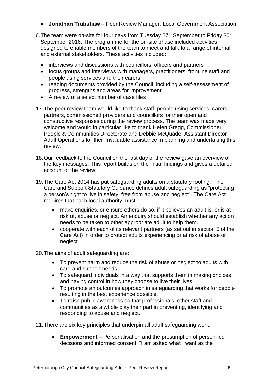- **Jonathan Trubshaw** Peer Review Manager, Local Government Association
- 16. The team were on-site for four days from Tuesday  $27<sup>th</sup>$  September to Friday  $30<sup>th</sup>$ September 2016. The programme for the on-site phase included activities designed to enable members of the team to meet and talk to a range of internal and external stakeholders. These activities included:
	- interviews and discussions with councillors, officers and partners
	- focus groups and interviews with managers, practitioners, frontline staff and people using services and their carers
	- reading documents provided by the Council, including a self-assessment of progress, strengths and areas for improvement
	- A review of a select number of case files
	- 17.The peer review team would like to thank staff, people using services, carers, partners, commissioned providers and councillors for their open and constructive responses during the review process. The team was made very welcome and would in particular like to thank Helen Gregg, Commissioner, People & Communities Directorate and Debbie McQuade, Assistant Director Adult Operations for their invaluable assistance in planning and undertaking this review.
	- 18.Our feedback to the Council on the last day of the review gave an overview of the key messages. This report builds on the initial findings and gives a detailed account of the review.
	- 19.The Care Act 2014 has put safeguarding adults on a statutory footing. The Care and Support Statutory Guidance defines adult safeguarding as "protecting a person's right to live in safety, free from abuse and neglect". The Care Act requires that each local authority must:
		- make enquiries, or ensure others do so, if it believes an adult is, or is at risk of, abuse or neglect. An enquiry should establish whether any action needs to be taken to other appropriate adult to help them.
		- cooperate with each of its relevant partners (as set out in section 6 of the Care Act) in order to protect adults experiencing or at risk of abuse or neglect

20.The aims of adult safeguarding are:

- To prevent harm and reduce the risk of abuse or neglect to adults with care and support needs.
- To safeguard individuals in a way that supports them in making choices and having control in how they choose to live their lives.
- To promote an outcomes approach in safeguarding that works for people resulting in the best experience possible.
- To raise public awareness so that professionals, other staff and communities as a whole play their part in preventing, identifying and responding to abuse and neglect.

21.There are six key principles that underpin all adult safeguarding work:

 **Empowerment** – Personalisation and the presumption of person-led decisions and informed consent. "I am asked what I want as the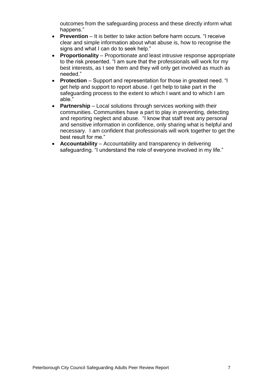outcomes from the safeguarding process and these directly inform what happens."

- **Prevention** It is better to take action before harm occurs. "I receive clear and simple information about what abuse is, how to recognise the signs and what I can do to seek help."
- **Proportionality** Proportionate and least intrusive response appropriate to the risk presented. "I am sure that the professionals will work for my best interests, as I see them and they will only get involved as much as needed."
- **Protection** Support and representation for those in greatest need. "I get help and support to report abuse. I get help to take part in the safeguarding process to the extent to which I want and to which I am able."
- **Partnership** Local solutions through services working with their communities. Communities have a part to play in preventing, detecting and reporting neglect and abuse. "I know that staff treat any personal and sensitive information in confidence, only sharing what is helpful and necessary. I am confident that professionals will work together to get the best result for me."
- **Accountability** Accountability and transparency in delivering safeguarding. "I understand the role of everyone involved in my life."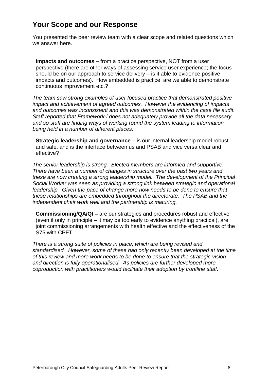### **Your Scope and our Response**

You presented the peer review team with a clear scope and related questions which we answer here.

**Impacts and outcomes –** from a practice perspective, NOT from a user perspective (there are other ways of assessing service user experience; the focus should be on our approach to service delivery – is it able to evidence positive impacts and outcomes). How embedded is practice, are we able to demonstrate continuous improvement etc.?

*The team saw strong examples of user focused practice that demonstrated positive impact and achievement of agreed outcomes. However the evidencing of impacts and outcomes was inconsistent and this was demonstrated within the case file audit. Staff reported that Framework-i does not adequately provide all the data necessary and so staff are finding ways of working round the system leading to information being held in a number of different places.*

**Strategic leadership and governance –** is our internal leadership model robust and safe, and is the interface between us and PSAB and vice versa clear and effective?

*The senior leadership is strong. Elected members are informed and supportive. There have been a number of changes in structure over the past two years and these are now creating a strong leadership model. The development of the Principal Social Worker was seen as providing a strong link between strategic and operational leadership.* Given the pace of change more now needs to be done to ensure that *these relationships are embedded throughout the directorate. The PSAB and the independent chair work well and the partnership is maturing.*

**Commissioning/QA/QI –** are our strategies and procedures robust and effective (even if only in principle – it may be too early to evidence anything practical), are joint commissioning arrangements with health effective and the effectiveness of the S75 with CPFT.

*There is a strong suite of policies in place, which are being revised and standardised. However, some of these had only recently been developed at the time of this review and more work needs to be done to ensure that the strategic vision and direction is fully operationalised. As policies are further developed more coproduction with practitioners would facilitate their adoption by frontline staff.*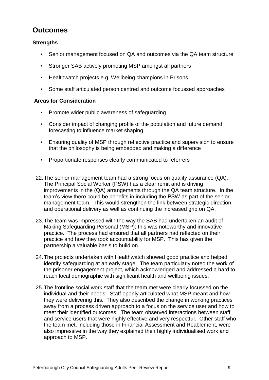# **Outcomes**

#### **Strengths**

- Senior management focused on QA and outcomes via the QA team structure
- Stronger SAB actively promoting MSP amongst all partners
- Healthwatch projects e.g. Wellbeing champions in Prisons
- Some staff articulated person centred and outcome focussed approaches

- Promote wider public awareness of safeguarding
- Consider impact of changing profile of the population and future demand forecasting to influence market shaping
- Ensuring quality of MSP through reflective practice and supervision to ensure that the philosophy is being embedded and making a difference
- Proportionate responses clearly communicated to referrers
- 22.The senior management team had a strong focus on quality assurance (QA). The Principal Social Worker (PSW) has a clear remit and is driving improvements in the (QA) arrangements through the QA team structure. In the team's view there could be benefits in including the PSW as part of the senior management team. This would strengthen the link between strategic direction and operational delivery as well as continuing the increased grip on QA.
- 23.The team was impressed with the way the SAB had undertaken an audit of Making Safeguarding Personal (MSP); this was noteworthy and innovative practice. The process had ensured that all partners had reflected on their practice and how they took accountability for MSP. This has given the partnership a valuable basis to build on.
- 24.The projects undertaken with Healthwatch showed good practice and helped identify safeguarding at an early stage. The team particularly noted the work of the prisoner engagement project, which acknowledged and addressed a hard to reach local demographic with significant health and wellbeing issues.
- 25.The frontline social work staff that the team met were clearly focussed on the individual and their needs. Staff openly articulated what MSP meant and how they were delivering this. They also described the change in working practices away from a process driven approach to a focus on the service user and how to meet their identified outcomes. The team observed interactions between staff and service users that were highly effective and very respectful. Other staff who the team met, including those in Financial Assessment and Reablement, were also impressive in the way they explained their highly individualised work and approach to MSP.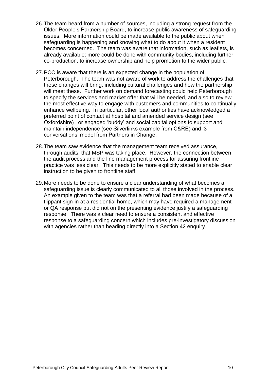- 26.The team heard from a number of sources, including a strong request from the Older People's Partnership Board, to increase public awareness of safeguarding issues. More information could be made available to the public about when safeguarding is happening and knowing what to do about it when a resident becomes concerned. The team was aware that information, such as leaflets, is already available; more could be done with community bodies, including further co-production, to increase ownership and help promotion to the wider public.
- 27.PCC is aware that there is an expected change in the population of Peterborough. The team was not aware of work to address the challenges that these changes will bring, including cultural challenges and how the partnership will meet these. Further work on demand forecasting could help Peterborough to specify the services and market offer that will be needed, and also to review the most effective way to engage with customers and communities to continually enhance wellbeing. In particular, other local authorities have acknowledged a preferred point of contact at hospital and amended service design (see Oxfordshire) , or engaged 'buddy' and social capital options to support and maintain independence (see Silverlinks example from C&RE) and '3 conversations' model from Partners in Change.
- 28.The team saw evidence that the management team received assurance, through audits, that MSP was taking place. However, the connection between the audit process and the line management process for assuring frontline practice was less clear. This needs to be more explicitly stated to enable clear instruction to be given to frontline staff.
- 29.More needs to be done to ensure a clear understanding of what becomes a safeguarding issue is clearly communicated to all those involved in the process. An example given to the team was that a referral had been made because of a flippant sign-in at a residential home, which may have required a management or QA response but did not on the presenting evidence justify a safeguarding response. There was a clear need to ensure a consistent and effective response to a safeguarding concern which includes pre-investigatory discussion with agencies rather than heading directly into a Section 42 enquiry.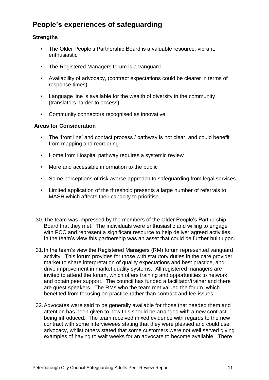# **People's experiences of safeguarding**

#### **Strengths**

- The Older People's Partnership Board is a valuable resource; vibrant, enthusiastic
- The Registered Managers forum is a vanguard
- Availability of advocacy, (contract expectations could be clearer in terms of response times)
- Language line is available for the wealth of diversity in the community (translators harder to access)
- Community connectors recognised as innovative

- The 'front line' and contact process / pathway is not clear, and could benefit from mapping and reordering
- Home from Hospital pathway requires a systemic review
- More and accessible information to the public
- Some perceptions of risk averse approach to safeguarding from legal services
- Limited application of the threshold presents a large number of referrals to MASH which affects their capacity to prioritise
- 30.The team was impressed by the members of the Older People's Partnership Board that they met. The individuals were enthusiastic and willing to engage with PCC and represent a significant resource to help deliver agreed activities. In the team's view this partnership was an asset that could be further built upon.
- 31.In the team's view the Registered Managers (RM) forum represented vanguard activity. This forum provides for those with statutory duties in the care provider market to share interpretation of quality expectations and best practice, and drive improvement in market quality systems. All registered managers are invited to attend the forum, which offers training and opportunities to network and obtain peer support. The council has funded a facilitator/trainer and there are guest speakers. The RMs who the team met valued the forum, which benefited from focusing on practice rather than contract and fee issues.
- 32.Advocates were said to be generally available for those that needed them and attention has been given to how this should be arranged with a new contract being introduced. The team received mixed evidence with regards to the new contract with some interviewees stating that they were pleased and could use advocacy, whilst others stated that some customers were not well served giving examples of having to wait weeks for an advocate to become available. There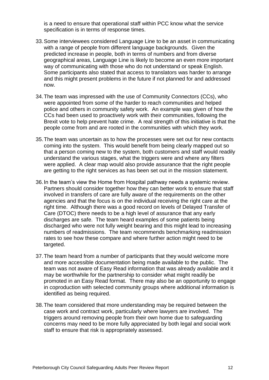is a need to ensure that operational staff within PCC know what the service specification is in terms of response times.

- 33.Some interviewees considered Language Line to be an asset in communicating with a range of people from different language backgrounds. Given the predicted increase in people, both in terms of numbers and from diverse geographical areas, Language Line is likely to become an even more important way of communicating with those who do not understand or speak English. Some participants also stated that access to translators was harder to arrange and this might present problems in the future if not planned for and addressed now.
- 34.The team was impressed with the use of Community Connectors (CCs), who were appointed from some of the harder to reach communities and helped police and others in community safety work. An example was given of how the CCs had been used to proactively work with their communities, following the Brexit vote to help prevent hate crime. A real strength of this initiative is that the people come from and are rooted in the communities with which they work.
- 35.The team was uncertain as to how the processes were set out for new contacts coming into the system. This would benefit from being clearly mapped out so that a person coming new to the system, both customers and staff would readily understand the various stages, what the triggers were and where any filters were applied. A clear map would also provide assurance that the right people are getting to the right services as has been set out in the mission statement.
- 36.In the team's view the Home from Hospital pathway needs a systemic review. Partners should consider together how they can better work to ensure that staff involved in transfers of care are fully aware of the requirements on the other agencies and that the focus is on the individual receiving the right care at the right time. Although there was a good record on levels of Delayed Transfer of Care (DTOC) there needs to be a high level of assurance that any early discharges are safe. The team heard examples of some patients being discharged who were not fully weight bearing and this might lead to increasing numbers of readmissions. The team recommends benchmarking readmission rates to see how these compare and where further action might need to be targeted.
- 37.The team heard from a number of participants that they would welcome more and more accessible documentation being made available to the public. The team was not aware of Easy Read information that was already available and it may be worthwhile for the partnership to consider what might readily be promoted in an Easy Read format. There may also be an opportunity to engage in coproduction with selected community groups where additional information is identified as being required.
- 38.The team considered that more understanding may be required between the case work and contract work, particularly where lawyers are involved. The triggers around removing people from their own home due to safeguarding concerns may need to be more fully appreciated by both legal and social work staff to ensure that risk is appropriately assessed.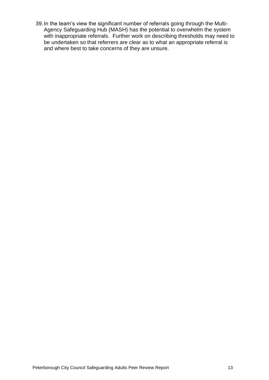39.In the team's view the significant number of referrals going through the Multi-Agency Safeguarding Hub (MASH) has the potential to overwhelm the system with inappropriate referrals. Further work on describing thresholds may need to be undertaken so that referrers are clear as to what an appropriate referral is and where best to take concerns of they are unsure.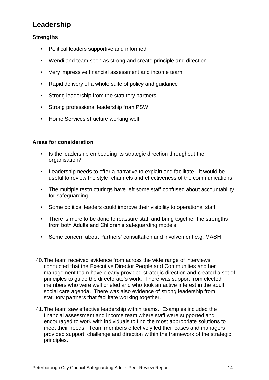# **Leadership**

#### **Strengths**

- Political leaders supportive and informed
- Wendi and team seen as strong and create principle and direction
- Very impressive financial assessment and income team
- Rapid delivery of a whole suite of policy and guidance
- Strong leadership from the statutory partners
- Strong professional leadership from PSW
- Home Services structure working well

- Is the leadership embedding its strategic direction throughout the organisation?
- Leadership needs to offer a narrative to explain and facilitate it would be useful to review the style, channels and effectiveness of the communications
- The multiple restructurings have left some staff confused about accountability for safeguarding
- Some political leaders could improve their visibility to operational staff
- There is more to be done to reassure staff and bring together the strengths from both Adults and Children's safeguarding models
- Some concern about Partners' consultation and involvement e.g. MASH
- 40.The team received evidence from across the wide range of interviews conducted that the Executive Director People and Communities and her management team have clearly provided strategic direction and created a set of principles to guide the directorate's work. There was support from elected members who were well briefed and who took an active interest in the adult social care agenda. There was also evidence of strong leadership from statutory partners that facilitate working together.
- 41.The team saw effective leadership within teams. Examples included the financial assessment and income team where staff were supported and encouraged to work with individuals to find the most appropriate solutions to meet their needs. Team members effectively led their cases and managers provided support, challenge and direction within the framework of the strategic principles.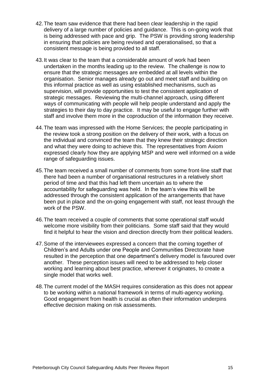- 42.The team saw evidence that there had been clear leadership in the rapid delivery of a large number of policies and guidance. This is on-going work that is being addressed with pace and grip. The PSW is providing strong leadership in ensuring that policies are being revised and operationalised, so that a consistent message is being provided to all staff.
- 43.It was clear to the team that a considerable amount of work had been undertaken in the months leading up to the review. The challenge is now to ensure that the strategic messages are embedded at all levels within the organisation. Senior manages already go out and meet staff and building on this informal practice as well as using established mechanisms, such as supervision, will provide opportunities to test the consistent application of strategic messages. Reviewing the multi-channel approach, using different ways of communicating with people will help people understand and apply the strategies to their day to day practice. It may be useful to engage further with staff and involve them more in the coproduction of the information they receive.
- 44.The team was impressed with the Home Services; the people participating in the review took a strong position on the delivery of their work, with a focus on the individual and convinced the team that they knew their strategic direction and what they were doing to achieve this. The representatives from Axiom expressed clearly how they are applying MSP and were well informed on a wide range of safeguarding issues.
- 45.The team received a small number of comments from some front-line staff that there had been a number of organisational restructures in a relatively short period of time and that this had left them uncertain as to where the accountability for safeguarding was held. In the team's view this will be addressed through the consistent application of the arrangements that have been put in place and the on-going engagement with staff, not least through the work of the PSW.
- 46.The team received a couple of comments that some operational staff would welcome more visibility from their politicians. Some staff said that they would find it helpful to hear the vision and direction directly from their political leaders.
- 47.Some of the interviewees expressed a concern that the coming together of Children's and Adults under one People and Communities Directorate have resulted in the perception that one department's delivery model is favoured over another. These perception issues will need to be addressed to help closer working and learning about best practice, wherever it originates, to create a single model that works well.
- 48.The current model of the MASH requires consideration as this does not appear to be working within a national framework in terms of multi-agency working. Good engagement from health is crucial as often their information underpins effective decision making on risk assessments.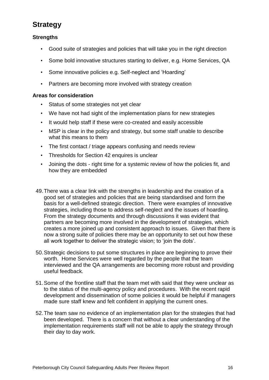# **Strategy**

#### **Strengths**

- Good suite of strategies and policies that will take you in the right direction
- Some bold innovative structures starting to deliver, e.g. Home Services, QA
- Some innovative policies e.g. Self-neglect and 'Hoarding'
- Partners are becoming more involved with strategy creation

- Status of some strategies not yet clear
- We have not had sight of the implementation plans for new strategies
- It would help staff if these were co-created and easily accessible
- MSP is clear in the policy and strategy, but some staff unable to describe what this means to them
- The first contact / triage appears confusing and needs review
- Thresholds for Section 42 enquires is unclear
- Joining the dots right time for a systemic review of how the policies fit, and how they are embedded
- 49.There was a clear link with the strengths in leadership and the creation of a good set of strategies and policies that are being standardised and form the basis for a well-defined strategic direction. There were examples of innovative strategies, including those to address self-neglect and the issues of hoarding. From the strategy documents and through discussions it was evident that partners are becoming more involved in the development of strategies, which creates a more joined up and consistent approach to issues. Given that there is now a strong suite of policies there may be an opportunity to set out how these all work together to deliver the strategic vision; to 'join the dots'.
- 50.Strategic decisions to put some structures in place are beginning to prove their worth. Home Services were well regarded by the people that the team interviewed and the QA arrangements are becoming more robust and providing useful feedback.
- 51.Some of the frontline staff that the team met with said that they were unclear as to the status of the multi-agency policy and procedures. With the recent rapid development and dissemination of some policies it would be helpful if managers made sure staff knew and felt confident in applying the current ones.
- 52.The team saw no evidence of an implementation plan for the strategies that had been developed. There is a concern that without a clear understanding of the implementation requirements staff will not be able to apply the strategy through their day to day work.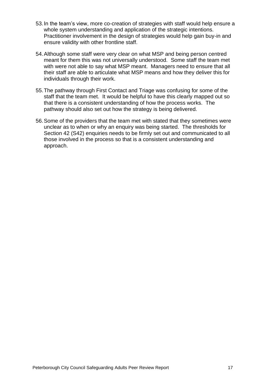- 53.In the team's view, more co-creation of strategies with staff would help ensure a whole system understanding and application of the strategic intentions. Practitioner involvement in the design of strategies would help gain buy-in and ensure validity with other frontline staff.
- 54.Although some staff were very clear on what MSP and being person centred meant for them this was not universally understood. Some staff the team met with were not able to say what MSP meant. Managers need to ensure that all their staff are able to articulate what MSP means and how they deliver this for individuals through their work.
- 55.The pathway through First Contact and Triage was confusing for some of the staff that the team met. It would be helpful to have this clearly mapped out so that there is a consistent understanding of how the process works. The pathway should also set out how the strategy is being delivered.
- 56.Some of the providers that the team met with stated that they sometimes were unclear as to when or why an enquiry was being started. The thresholds for Section 42 (S42) enquiries needs to be firmly set out and communicated to all those involved in the process so that is a consistent understanding and approach.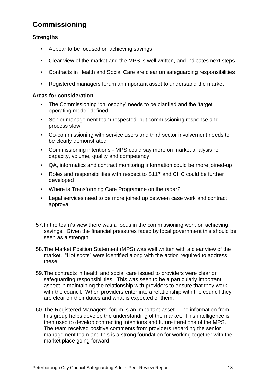# <span id="page-18-0"></span>**Commissioning**

#### **Strengths**

- Appear to be focused on achieving savings
- Clear view of the market and the MPS is well written, and indicates next steps
- Contracts in Health and Social Care are clear on safeguarding responsibilities
- Registered managers forum an important asset to understand the market

- The Commissioning 'philosophy' needs to be clarified and the 'target operating model' defined
- Senior management team respected, but commissioning response and process slow
- Co-commissioning with service users and third sector involvement needs to be clearly demonstrated
- Commissioning intentions MPS could say more on market analysis re: capacity, volume, quality and competency
- QA, informatics and contract monitoring information could be more joined-up
- Roles and responsibilities with respect to S117 and CHC could be further developed
- Where is Transforming Care Programme on the radar?
- Legal services need to be more joined up between case work and contract approval
- 57.In the team's view there was a focus in the commissioning work on achieving savings. Given the financial pressures faced by local government this should be seen as a strength.
- 58.The Market Position Statement (MPS) was well written with a clear view of the market. "Hot spots" were identified along with the action required to address these.
- 59.The contracts in health and social care issued to providers were clear on safeguarding responsibilities. This was seen to be a particularly important aspect in maintaining the relationship with providers to ensure that they work with the council. When providers enter into a relationship with the council they are clear on their duties and what is expected of them.
- 60.The Registered Managers' forum is an important asset. The information from this group helps develop the understanding of the market. This intelligence is then used to develop contracting intentions and future iterations of the MPS. The team received positive comments from providers regarding the senior management team and this is a strong foundation for working together with the market place going forward.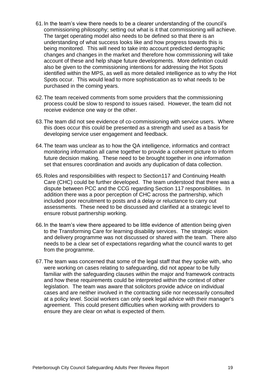- 61.In the team's view there needs to be a clearer understanding of the council's commissioning philosophy; setting out what is it that commissioning will achieve. The target operating model also needs to be defined so that there is an understanding of what success looks like and how progress towards this is being monitored. This will need to take into account predicted demographic changes and changes in the market and therefore how commissioning will take account of these and help shape future developments. More definition could also be given to the commissioning intentions for addressing the Hot Spots identified within the MPS, as well as more detailed intelligence as to why the Hot Spots occur. This would lead to more sophistication as to what needs to be purchased in the coming years.
- 62.The team received comments from some providers that the commissioning process could be slow to respond to issues raised. However, the team did not receive evidence one way or the other.
- 63.The team did not see evidence of co-commissioning with service users. Where this does occur this could be presented as a strength and used as a basis for developing service user engagement and feedback.
- 64.The team was unclear as to how the QA intelligence, informatics and contract monitoring information all came together to provide a coherent picture to inform future decision making. These need to be brought together in one information set that ensures coordination and avoids any duplication of data collection.
- 65.Roles and responsibilities with respect to Section117 and Continuing Health Care (CHC) could be further developed. The team understood that there was a dispute between PCC and the CCG regarding Section 117 responsibilities. In addition there was a poor perception of CHC across the partnership, which included poor recruitment to posts and a delay or reluctance to carry out assessments. These need to be discussed and clarified at a strategic level to ensure robust partnership working.
- 66.In the team's view there appeared to be little evidence of attention being given to the Transforming Care for learning disability services. The strategic vision and delivery programme was not discussed or shared with the team. There also needs to be a clear set of expectations regarding what the council wants to get from the programme.
- 67.The team was concerned that some of the legal staff that they spoke with, who were working on cases relating to safeguarding, did not appear to be fully familiar with the safeguarding clauses within the major and framework contracts and how these requirements could be interpreted within the context of other legislation. The team was aware that solicitors provide advice on individual cases and are neither involved in the contracting side nor necessarily consulted at a policy level. Social workers can only seek legal advice with their manager's agreement. This could present difficulties when working with providers to ensure they are clear on what is expected of them.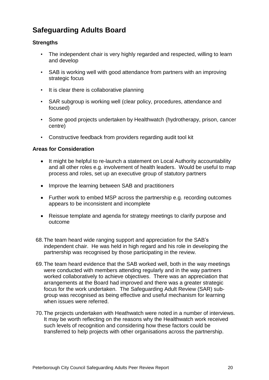# **Safeguarding Adults Board**

#### **Strengths**

- The independent chair is very highly regarded and respected, willing to learn and develop
- SAB is working well with good attendance from partners with an improving strategic focus
- It is clear there is collaborative planning
- SAR subgroup is working well (clear policy, procedures, attendance and focused)
- Some good projects undertaken by Healthwatch (hydrotherapy, prison, cancer centre)
- Constructive feedback from providers regarding audit tool kit

- It might be helpful to re-launch a statement on Local Authority accountability and all other roles e.g. involvement of health leaders. Would be useful to map process and roles, set up an executive group of statutory partners
- Improve the learning between SAB and practitioners
- Further work to embed MSP across the partnership e.g. recording outcomes appears to be inconsistent and incomplete
- Reissue template and agenda for strategy meetings to clarify purpose and outcome
- 68.The team heard wide ranging support and appreciation for the SAB's independent chair. He was held in high regard and his role in developing the partnership was recognised by those participating in the review.
- 69.The team heard evidence that the SAB worked well, both in the way meetings were conducted with members attending regularly and in the way partners worked collaboratively to achieve objectives. There was an appreciation that arrangements at the Board had improved and there was a greater strategic focus for the work undertaken. The Safeguarding Adult Review (SAR) subgroup was recognised as being effective and useful mechanism for learning when issues were referred.
- 70.The projects undertaken with Heathwatch were noted in a number of interviews. It may be worth reflecting on the reasons why the Healthwatch work received such levels of recognition and considering how these factors could be transferred to help projects with other organisations across the partnership.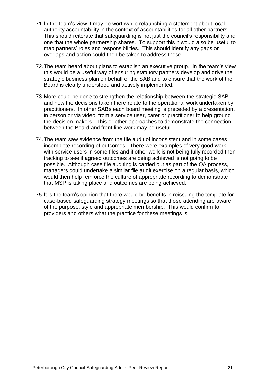- 71.In the team's view it may be worthwhile relaunching a statement about local authority accountability in the context of accountabilities for all other partners. This should reiterate that safeguarding is not just the council's responsibility and one that the whole partnership shares. To support this it would also be useful to map partners' roles and responsibilities. This should identify any gaps or overlaps and action could then be taken to address these.
- 72.The team heard about plans to establish an executive group. In the team's view this would be a useful way of ensuring statutory partners develop and drive the strategic business plan on behalf of the SAB and to ensure that the work of the Board is clearly understood and actively implemented.
- 73.More could be done to strengthen the relationship between the strategic SAB and how the decisions taken there relate to the operational work undertaken by practitioners. In other SABs each board meeting is preceded by a presentation, in person or via video, from a service user, carer or practitioner to help ground the decision makers. This or other approaches to demonstrate the connection between the Board and front line work may be useful.
- 74.The team saw evidence from the file audit of inconsistent and in some cases incomplete recording of outcomes. There were examples of very good work with service users in some files and if other work is not being fully recorded then tracking to see if agreed outcomes are being achieved is not going to be possible. Although case file auditing is carried out as part of the QA process, managers could undertake a similar file audit exercise on a regular basis, which would then help reinforce the culture of appropriate recording to demonstrate that MSP is taking place and outcomes are being achieved.
- 75.It is the team's opinion that there would be benefits in reissuing the template for case-based safeguarding strategy meetings so that those attending are aware of the purpose, style and appropriate membership. This would confirm to providers and others what the practice for these meetings is.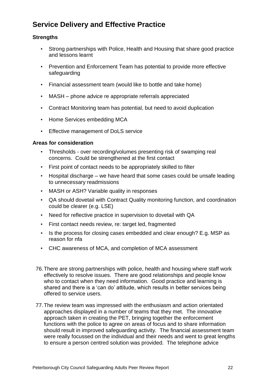# **Service Delivery and Effective Practice**

#### **Strengths**

- Strong partnerships with Police, Health and Housing that share good practice and lessons learnt
- Prevention and Enforcement Team has potential to provide more effective safeguarding
- Financial assessment team (would like to bottle and take home)
- MASH phone advice re appropriate referrals appreciated
- Contract Monitoring team has potential, but need to avoid duplication
- Home Services embedding MCA
- Effective management of DoLS service

- Thresholds over recording/volumes presenting risk of swamping real concerns. Could be strengthened at the first contact
- First point of contact needs to be appropriately skilled to filter
- Hospital discharge we have heard that some cases could be unsafe leading to unnecessary readmissions
- MASH or ASH? Variable quality in responses
- QA should dovetail with Contract Quality monitoring function, and coordination could be clearer (e.g. LSE)
- Need for reflective practice in supervision to dovetail with QA
- First contact needs review, re: target led, fragmented
- Is the process for closing cases embedded and clear enough? E.g. MSP as reason for nfa
- CHC awareness of MCA, and completion of MCA assessment
- 76.There are strong partnerships with police, health and housing where staff work effectively to resolve issues. There are good relationships and people know who to contact when they need information. Good practice and learning is shared and there is a 'can do' attitude, which results in better services being offered to service users.
- 77.The review team was impressed with the enthusiasm and action orientated approaches displayed in a number of teams that they met. The innovative approach taken in creating the PET, bringing together the enforcement functions with the police to agree on areas of focus and to share information should result in improved safeguarding activity. The financial assessment team were really focussed on the individual and their needs and went to great lengths to ensure a person centred solution was provided. The telephone advice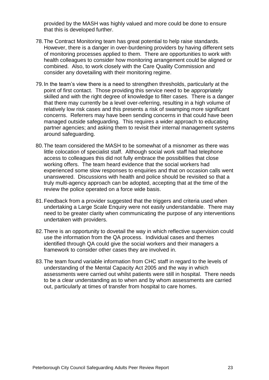provided by the MASH was highly valued and more could be done to ensure that this is developed further.

- 78.The Contract Monitoring team has great potential to help raise standards. However, there is a danger in over-burdening providers by having different sets of monitoring processes applied to them. There are opportunities to work with health colleagues to consider how monitoring arrangement could be aligned or combined. Also, to work closely with the Care Quality Commission and consider any dovetailing with their monitoring regime.
- 79.In the team's view there is a need to strengthen thresholds, particularly at the point of first contact. Those providing this service need to be appropriately skilled and with the right degree of knowledge to filter cases. There is a danger that there may currently be a level over-referring, resulting in a high volume of relatively low risk cases and this presents a risk of swamping more significant concerns. Referrers may have been sending concerns in that could have been managed outside safeguarding. This requires a wider approach to educating partner agencies; and asking them to revisit their internal management systems around safeguarding.
- 80.The team considered the MASH to be somewhat of a misnomer as there was little colocation of specialist staff. Although social work staff had telephone access to colleagues this did not fully embrace the possibilities that close working offers. The team heard evidence that the social workers had experienced some slow responses to enquiries and that on occasion calls went unanswered. Discussions with health and police should be revisited so that a truly multi-agency approach can be adopted, accepting that at the time of the review the police operated on a force wide basis.
- 81.Feedback from a provider suggested that the triggers and criteria used when undertaking a Large Scale Enquiry were not easily understandable. There may need to be greater clarity when communicating the purpose of any interventions undertaken with providers.
- 82.There is an opportunity to dovetail the way in which reflective supervision could use the information from the QA process. Individual cases and themes identified through QA could give the social workers and their managers a framework to consider other cases they are involved in.
- 83.The team found variable information from CHC staff in regard to the levels of understanding of the Mental Capacity Act 2005 and the way in which assessments were carried out whilst patients were still in hospital. There needs to be a clear understanding as to when and by whom assessments are carried out, particularly at times of transfer from hospital to care homes.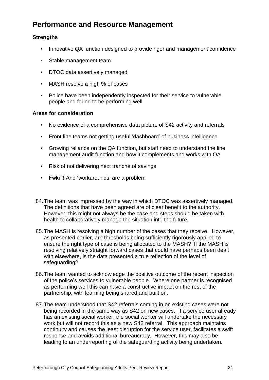# **Performance and Resource Management**

#### **Strengths**

- Innovative QA function designed to provide rigor and management confidence
- Stable management team
- DTOC data assertively managed
- MASH resolve a high % of cases
- Police have been independently inspected for their service to vulnerable people and found to be performing well

- No evidence of a comprehensive data picture of S42 activity and referrals
- Front line teams not getting useful 'dashboard' of business intelligence
- Growing reliance on the QA function, but staff need to understand the line management audit function and how it complements and works with QA
- Risk of not delivering next tranche of savings
- Fwki !! And 'workarounds' are a problem
- 84.The team was impressed by the way in which DTOC was assertively managed. The definitions that have been agreed are of clear benefit to the authority. However, this might not always be the case and steps should be taken with health to collaboratively manage the situation into the future.
- 85.The MASH is resolving a high number of the cases that they receive. However, as presented earlier, are thresholds being sufficiently rigorously applied to ensure the right type of case is being allocated to the MASH? If the MASH is resolving relatively straight forward cases that could have perhaps been dealt with elsewhere, is the data presented a true reflection of the level of safeguarding?
- 86.The team wanted to acknowledge the positive outcome of the recent inspection of the police's services to vulnerable people. Where one partner is recognised as performing well this can have a constructive impact on the rest of the partnership, with learning being shared and built on.
- 87.The team understood that S42 referrals coming in on existing cases were not being recorded in the same way as S42 on new cases. If a service user already has an existing social worker, the social worker will undertake the necessary work but will not record this as a new S42 referral. This approach maintains continuity and causes the least disruption for the service user, facilitates a swift response and avoids additional bureaucracy. However, this may also be leading to an underreporting of the safeguarding activity being undertaken.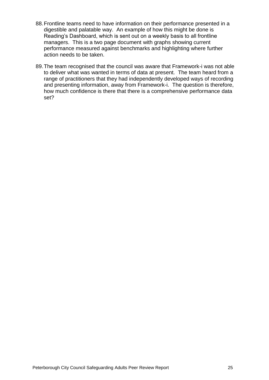- 88.Frontline teams need to have information on their performance presented in a digestible and palatable way. An example of how this might be done is Reading's Dashboard, which is sent out on a weekly basis to all frontline managers. This is a two page document with graphs showing current performance measured against benchmarks and highlighting where further action needs to be taken.
- 89.The team recognised that the council was aware that Framework-i was not able to deliver what was wanted in terms of data at present. The team heard from a range of practitioners that they had independently developed ways of recording and presenting information, away from Framework-i. The question is therefore, how much confidence is there that there is a comprehensive performance data set?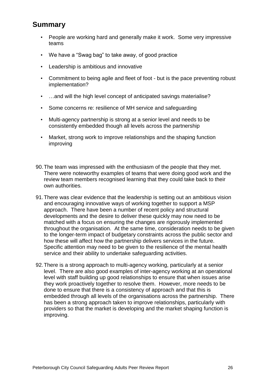### **Summary**

- People are working hard and generally make it work. Some very impressive teams
- We have a "Swag bag" to take away, of good practice
- Leadership is ambitious and innovative
- Commitment to being agile and fleet of foot but is the pace preventing robust implementation?
- ...and will the high level concept of anticipated savings materialise?
- Some concerns re: resilience of MH service and safeguarding
- Multi-agency partnership is strong at a senior level and needs to be consistently embedded though all levels across the partnership
- Market, strong work to improve relationships and the shaping function improving
- 90.The team was impressed with the enthusiasm of the people that they met. There were noteworthy examples of teams that were doing good work and the review team members recognised learning that they could take back to their own authorities.
- 91.There was clear evidence that the leadership is setting out an ambitious vision and encouraging innovative ways of working together to support a MSP approach. There have been a number of recent policy and structural developments and the desire to deliver these quickly may now need to be matched with a focus on ensuring the changes are rigorously implemented throughout the organisation. At the same time, consideration needs to be given to the longer-term impact of budgetary constraints across the public sector and how these will affect how the partnership delivers services in the future. Specific attention may need to be given to the resilience of the mental health service and their ability to undertake safeguarding activities.
- 92.There is a strong approach to multi-agency working, particularly at a senior level. There are also good examples of inter-agency working at an operational level with staff building up good relationships to ensure that when issues arise they work proactively together to resolve them. However, more needs to be done to ensure that there is a consistency of approach and that this is embedded through all levels of the organisations across the partnership. There has been a strong approach taken to improve relationships, particularly with providers so that the market is developing and the market shaping function is improving.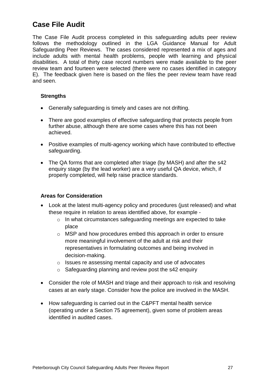## **Case File Audit**

The Case File Audit process completed in this safeguarding adults peer review follows the methodology outlined in the LGA Guidance Manual for Adult Safeguarding Peer Reviews. The cases considered represented a mix of ages and include adults with mental health problems, people with learning and physical disabilities. A total of thirty case record numbers were made available to the peer review team and fourteen were selected (there were no cases identified in category E). The feedback given here is based on the files the peer review team have read and seen.

#### **Strengths**

- Generally safeguarding is timely and cases are not drifting.
- There are good examples of effective safeguarding that protects people from further abuse, although there are some cases where this has not been achieved.
- Positive examples of multi-agency working which have contributed to effective safeguarding.
- The QA forms that are completed after triage (by MASH) and after the s42 enquiry stage (by the lead worker) are a very useful QA device, which, if properly completed, will help raise practice standards.

- Look at the latest multi-agency policy and procedures (just released) and what these require in relation to areas identified above, for example
	- o In what circumstances safeguarding meetings are expected to take place
	- o MSP and how procedures embed this approach in order to ensure more meaningful involvement of the adult at risk and their representatives in formulating outcomes and being involved in decision-making.
	- o Issues re assessing mental capacity and use of advocates
	- $\circ$  Safeguarding planning and review post the s42 enquiry
- Consider the role of MASH and triage and their approach to risk and resolving cases at an early stage. Consider how the police are involved in the MASH.
- How safeguarding is carried out in the C&PFT mental health service (operating under a Section 75 agreement), given some of problem areas identified in audited cases.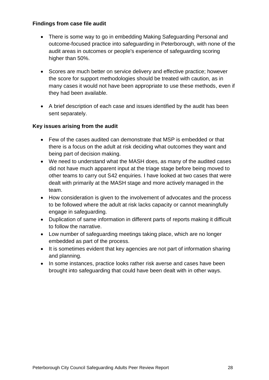#### **Findings from case file audit**

- There is some way to go in embedding Making Safeguarding Personal and outcome-focused practice into safeguarding in Peterborough, with none of the audit areas in outcomes or people's experience of safeguarding scoring higher than 50%.
- Scores are much better on service delivery and effective practice; however the score for support methodologies should be treated with caution, as in many cases it would not have been appropriate to use these methods, even if they had been available.
- A brief description of each case and issues identified by the audit has been sent separately.

#### **Key issues arising from the audit**

- Few of the cases audited can demonstrate that MSP is embedded or that there is a focus on the adult at risk deciding what outcomes they want and being part of decision making.
- We need to understand what the MASH does, as many of the audited cases did not have much apparent input at the triage stage before being moved to other teams to carry out S42 enquiries. I have looked at two cases that were dealt with primarily at the MASH stage and more actively managed in the team.
- How consideration is given to the involvement of advocates and the process to be followed where the adult at risk lacks capacity or cannot meaningfully engage in safeguarding.
- Duplication of same information in different parts of reports making it difficult to follow the narrative.
- Low number of safeguarding meetings taking place, which are no longer embedded as part of the process.
- It is sometimes evident that key agencies are not part of information sharing and planning.
- In some instances, practice looks rather risk averse and cases have been brought into safeguarding that could have been dealt with in other ways.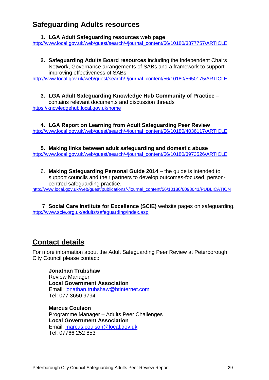### **Safeguarding Adults resources**

#### **1. LGA Adult Safeguarding resources web page**

[http://www.local.gov.uk/web/guest/search/-/journal\\_content/56/10180/3877757/ARTICLE](http://www.local.gov.uk/web/guest/search/-/journal_content/56/10180/3877757/ARTICLE)

**2. Safeguarding Adults Board resources** including the Independent Chairs Network, Governance arrangements of SABs and a framework to support improving effectiveness of SABs

[http://www.local.gov.uk/web/guest/search/-/journal\\_content/56/10180/5650175/ARTICLE](http://www.local.gov.uk/web/guest/search/-/journal_content/56/10180/5650175/ARTICLE)

**3. LGA Adult Safeguarding Knowledge Hub Community of Practice** – contains relevant documents and discussion threads <https://knowledgehub.local.gov.uk/home>

**4. LGA Report on Learning from Adult Safeguarding Peer Review** [http://www.local.gov.uk/web/guest/search/-/journal\\_content/56/10180/4036117/ARTICLE](http://www.local.gov.uk/web/guest/search/-/journal_content/56/10180/4036117/ARTICLE)

**5. Making links between adult safeguarding and domestic abuse** [http://www.local.gov.uk/web/guest/search/-/journal\\_content/56/10180/3973526/ARTICLE](http://www.local.gov.uk/web/guest/search/-/journal_content/56/10180/3973526/ARTICLE)

6. **Making Safeguarding Personal Guide 2014** – the guide is intended to support councils and their partners to develop outcomes-focused, personcentred safeguarding practice.

[http://www.local.gov.uk/web/guest/publications/-/journal\\_content/56/10180/6098641/PUBLICATION](http://www.local.gov.uk/web/guest/publications/-/journal_content/56/10180/6098641/PUBLICATION)

7. **Social Care Institute for Excellence (SCIE)** website pages on safeguarding. <http://www.scie.org.uk/adults/safeguarding/index.asp>

# **Contact details**

For more information about the Adult Safeguarding Peer Review at Peterborough City Council please contact:

**Jonathan Trubshaw** Review Manager **Local Government Association** Email: [jonathan.trubshaw@btinternet.com](mailto:jonathan.trubshaw@btinternet.com) Tel: 077 3650 9794

**Marcus Coulson** Programme Manager – Adults Peer Challenges **Local Government Association** Email: [marcus.coulson@local.gov.uk](mailto:marcus.coulson@local.gov.uk) Tel: 07766 252 853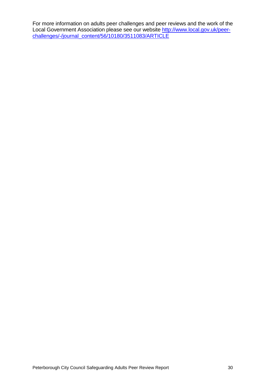For more information on adults peer challenges and peer reviews and the work of the Local Government Association please see our website [http://www.local.gov.uk/peer](http://www.local.gov.uk/peer-challenges/-/journal_content/56/10180/3511083/ARTICLE)[challenges/-/journal\\_content/56/10180/3511083/ARTICLE](http://www.local.gov.uk/peer-challenges/-/journal_content/56/10180/3511083/ARTICLE)